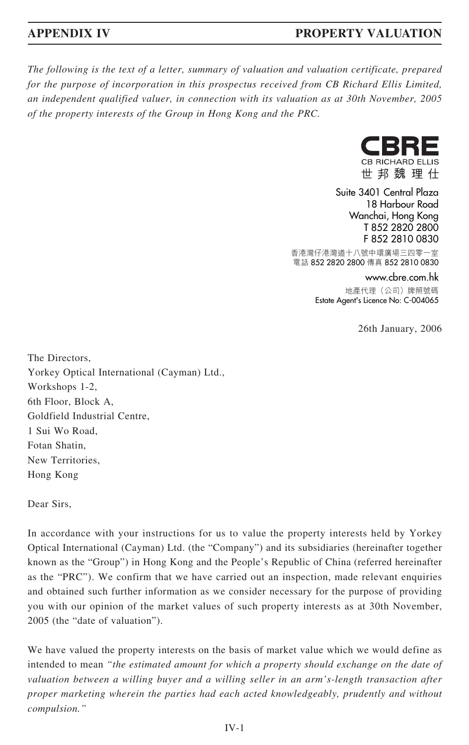*The following is the text of a letter, summary of valuation and valuation certificate, prepared for the purpose of incorporation in this prospectus received from CB Richard Ellis Limited, an independent qualified valuer, in connection with its valuation as at 30th November, 2005 of the property interests of the Group in Hong Kong and the PRC.*



世邦魏理仕

Suite 3401 Central Plaza 18 Harbour Road Wanchai, Hong Kong T 852 2820 2800 F 852 2810 0830

香港灣仔港灣道十八號中環廣場三四零一室 電話 852 2820 2800 傳真 852 2810 0830

www.cbre.com.hk

地產代理(公司)牌照號碼 Estate Agent's Licence No: C-004065

26th January, 2006

The Directors, Yorkey Optical International (Cayman) Ltd., Workshops 1-2, 6th Floor, Block A, Goldfield Industrial Centre, 1 Sui Wo Road, Fotan Shatin, New Territories, Hong Kong

Dear Sirs,

In accordance with your instructions for us to value the property interests held by Yorkey Optical International (Cayman) Ltd. (the "Company") and its subsidiaries (hereinafter together known as the "Group") in Hong Kong and the People's Republic of China (referred hereinafter as the "PRC"). We confirm that we have carried out an inspection, made relevant enquiries and obtained such further information as we consider necessary for the purpose of providing you with our opinion of the market values of such property interests as at 30th November, 2005 (the "date of valuation").

We have valued the property interests on the basis of market value which we would define as intended to mean *"the estimated amount for which a property should exchange on the date of valuation between a willing buyer and a willing seller in an arm's-length transaction after proper marketing wherein the parties had each acted knowledgeably, prudently and without compulsion."*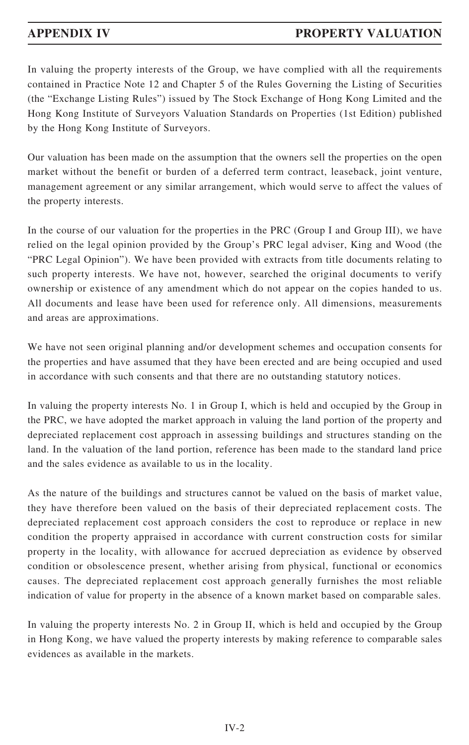In valuing the property interests of the Group, we have complied with all the requirements contained in Practice Note 12 and Chapter 5 of the Rules Governing the Listing of Securities (the "Exchange Listing Rules") issued by The Stock Exchange of Hong Kong Limited and the Hong Kong Institute of Surveyors Valuation Standards on Properties (1st Edition) published by the Hong Kong Institute of Surveyors.

Our valuation has been made on the assumption that the owners sell the properties on the open market without the benefit or burden of a deferred term contract, leaseback, joint venture, management agreement or any similar arrangement, which would serve to affect the values of the property interests.

In the course of our valuation for the properties in the PRC (Group I and Group III), we have relied on the legal opinion provided by the Group's PRC legal adviser, King and Wood (the "PRC Legal Opinion"). We have been provided with extracts from title documents relating to such property interests. We have not, however, searched the original documents to verify ownership or existence of any amendment which do not appear on the copies handed to us. All documents and lease have been used for reference only. All dimensions, measurements and areas are approximations.

We have not seen original planning and/or development schemes and occupation consents for the properties and have assumed that they have been erected and are being occupied and used in accordance with such consents and that there are no outstanding statutory notices.

In valuing the property interests No. 1 in Group I, which is held and occupied by the Group in the PRC, we have adopted the market approach in valuing the land portion of the property and depreciated replacement cost approach in assessing buildings and structures standing on the land. In the valuation of the land portion, reference has been made to the standard land price and the sales evidence as available to us in the locality.

As the nature of the buildings and structures cannot be valued on the basis of market value, they have therefore been valued on the basis of their depreciated replacement costs. The depreciated replacement cost approach considers the cost to reproduce or replace in new condition the property appraised in accordance with current construction costs for similar property in the locality, with allowance for accrued depreciation as evidence by observed condition or obsolescence present, whether arising from physical, functional or economics causes. The depreciated replacement cost approach generally furnishes the most reliable indication of value for property in the absence of a known market based on comparable sales.

In valuing the property interests No. 2 in Group II, which is held and occupied by the Group in Hong Kong, we have valued the property interests by making reference to comparable sales evidences as available in the markets.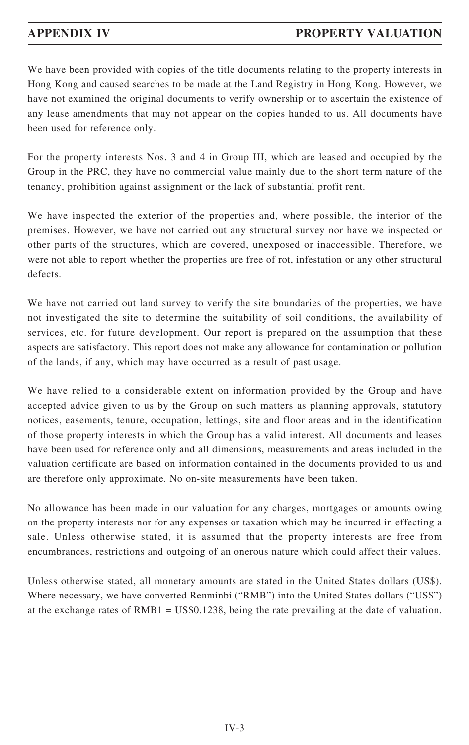We have been provided with copies of the title documents relating to the property interests in Hong Kong and caused searches to be made at the Land Registry in Hong Kong. However, we have not examined the original documents to verify ownership or to ascertain the existence of any lease amendments that may not appear on the copies handed to us. All documents have been used for reference only.

For the property interests Nos. 3 and 4 in Group III, which are leased and occupied by the Group in the PRC, they have no commercial value mainly due to the short term nature of the tenancy, prohibition against assignment or the lack of substantial profit rent.

We have inspected the exterior of the properties and, where possible, the interior of the premises. However, we have not carried out any structural survey nor have we inspected or other parts of the structures, which are covered, unexposed or inaccessible. Therefore, we were not able to report whether the properties are free of rot, infestation or any other structural defects.

We have not carried out land survey to verify the site boundaries of the properties, we have not investigated the site to determine the suitability of soil conditions, the availability of services, etc. for future development. Our report is prepared on the assumption that these aspects are satisfactory. This report does not make any allowance for contamination or pollution of the lands, if any, which may have occurred as a result of past usage.

We have relied to a considerable extent on information provided by the Group and have accepted advice given to us by the Group on such matters as planning approvals, statutory notices, easements, tenure, occupation, lettings, site and floor areas and in the identification of those property interests in which the Group has a valid interest. All documents and leases have been used for reference only and all dimensions, measurements and areas included in the valuation certificate are based on information contained in the documents provided to us and are therefore only approximate. No on-site measurements have been taken.

No allowance has been made in our valuation for any charges, mortgages or amounts owing on the property interests nor for any expenses or taxation which may be incurred in effecting a sale. Unless otherwise stated, it is assumed that the property interests are free from encumbrances, restrictions and outgoing of an onerous nature which could affect their values.

Unless otherwise stated, all monetary amounts are stated in the United States dollars (US\$). Where necessary, we have converted Renminbi ("RMB") into the United States dollars ("US\$") at the exchange rates of  $RMB1 = US$0.1238$ , being the rate prevailing at the date of valuation.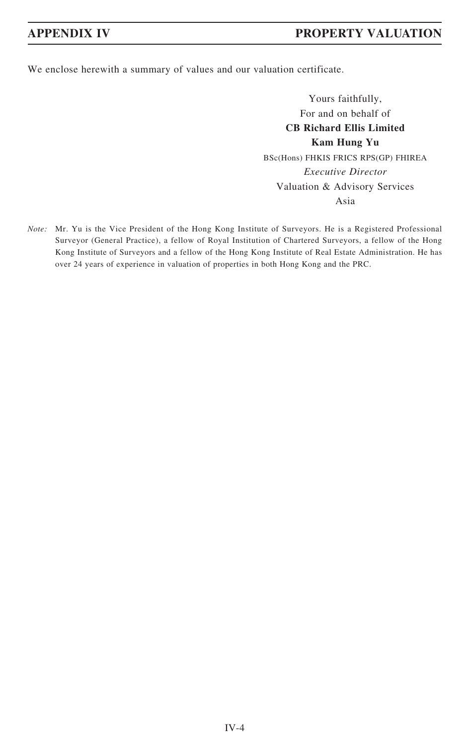We enclose herewith a summary of values and our valuation certificate.

Yours faithfully, For and on behalf of **CB Richard Ellis Limited Kam Hung Yu** BSc(Hons) FHKIS FRICS RPS(GP) FHIREA *Executive Director* Valuation & Advisory Services Asia

*Note:* Mr. Yu is the Vice President of the Hong Kong Institute of Surveyors. He is a Registered Professional Surveyor (General Practice), a fellow of Royal Institution of Chartered Surveyors, a fellow of the Hong Kong Institute of Surveyors and a fellow of the Hong Kong Institute of Real Estate Administration. He has over 24 years of experience in valuation of properties in both Hong Kong and the PRC.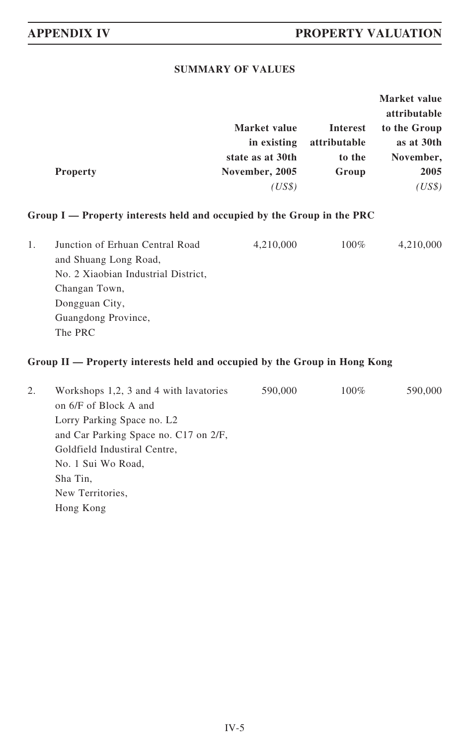## **SUMMARY OF VALUES**

|                 |                  |              | Market value |
|-----------------|------------------|--------------|--------------|
|                 |                  |              | attributable |
|                 | Market value     | Interest     | to the Group |
|                 | in existing      | attributable | as at 30th   |
|                 | state as at 30th | to the       | November,    |
| <b>Property</b> | November, 2005   | Group        | 2005         |
|                 | (US\$)           |              | (US\$)       |

## **Group I — Property interests held and occupied by the Group in the PRC**

| Junction of Erhuan Central Road     | 4,210,000 | $100\%$ | 4,210,000 |
|-------------------------------------|-----------|---------|-----------|
| and Shuang Long Road,               |           |         |           |
| No. 2 Xiaobian Industrial District, |           |         |           |
| Changan Town,                       |           |         |           |
| Dongguan City,                      |           |         |           |
| Guangdong Province,                 |           |         |           |
| The PRC                             |           |         |           |

### **Group II — Property interests held and occupied by the Group in Hong Kong**

| 2. | Workshops 1,2, 3 and 4 with lavatories | 590,000 | $100\%$ | 590,000 |
|----|----------------------------------------|---------|---------|---------|
|    | on 6/F of Block A and                  |         |         |         |
|    | Lorry Parking Space no. L <sub>2</sub> |         |         |         |
|    | and Car Parking Space no. C17 on 2/F,  |         |         |         |
|    | Goldfield Industiral Centre,           |         |         |         |
|    | No. 1 Sui Wo Road,                     |         |         |         |
|    | Sha Tin,                               |         |         |         |
|    | New Territories,                       |         |         |         |
|    | Hong Kong                              |         |         |         |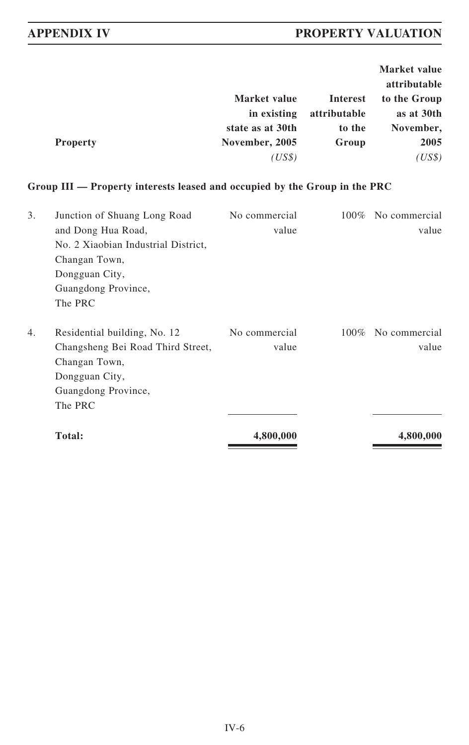|                  |                 | <b>Market value</b> |
|------------------|-----------------|---------------------|
|                  |                 | attributable        |
| Market value     | <b>Interest</b> | to the Group        |
| in existing      | attributable    | as at 30th          |
| state as at 30th | to the          | November,           |
| November, 2005   | Group           | 2005                |
| (US\$)           |                 | (US\$)              |
|                  |                 |                     |

## **Group III — Property interests leased and occupied by the Group in the PRC**

| 3. | Junction of Shuang Long Road        | No commercial | $100\%$ | No commercial |
|----|-------------------------------------|---------------|---------|---------------|
|    | and Dong Hua Road,                  | value         |         | value         |
|    | No. 2 Xiaobian Industrial District, |               |         |               |
|    | Changan Town,                       |               |         |               |
|    | Dongguan City,                      |               |         |               |
|    | Guangdong Province,                 |               |         |               |
|    | The PRC                             |               |         |               |
| 4. | Residential building, No. 12        | No commercial | $100\%$ | No commercial |
|    | Changsheng Bei Road Third Street,   | value         |         | value         |
|    | Changan Town,                       |               |         |               |
|    | Dongguan City,                      |               |         |               |
|    | Guangdong Province,                 |               |         |               |
|    | The PRC                             |               |         |               |
|    | Total:                              | 4,800,000     |         | 4,800,000     |
|    |                                     |               |         |               |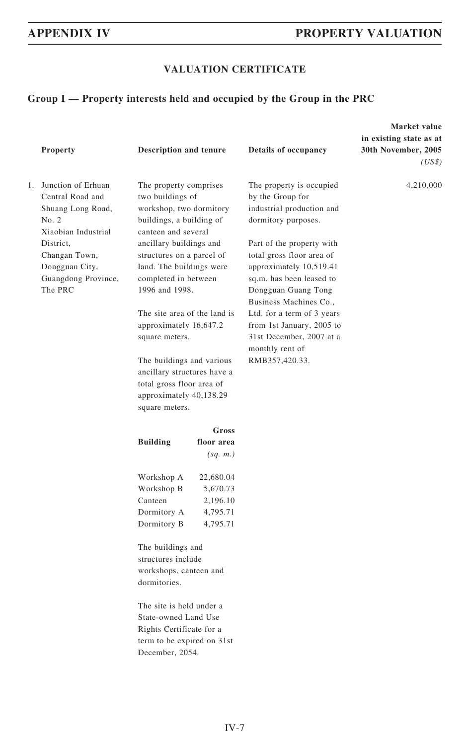## **VALUATION CERTIFICATE**

## **Group I — Property interests held and occupied by the Group in the PRC**

|  | Property                                                                                       | Description and tenure                                                                                                             |                                                           | Details of occupancy                                                                                                                                           | Market value<br>in existing state as at<br>30th November, 2005<br>(US\$) |
|--|------------------------------------------------------------------------------------------------|------------------------------------------------------------------------------------------------------------------------------------|-----------------------------------------------------------|----------------------------------------------------------------------------------------------------------------------------------------------------------------|--------------------------------------------------------------------------|
|  | 1. Junction of Erhuan<br>Central Road and<br>Shuang Long Road,<br>No. 2<br>Xiaobian Industrial | The property comprises<br>two buildings of<br>workshop, two dormitory<br>buildings, a building of<br>canteen and several           |                                                           | The property is occupied<br>by the Group for<br>industrial production and<br>dormitory purposes.                                                               | 4,210,000                                                                |
|  | District.<br>Changan Town,<br>Dongguan City,<br>Guangdong Province,<br>The PRC                 | ancillary buildings and<br>structures on a parcel of<br>land. The buildings were<br>completed in between<br>1996 and 1998.         |                                                           | Part of the property with<br>total gross floor area of<br>approximately 10,519.41<br>sq.m. has been leased to<br>Dongguan Guang Tong<br>Business Machines Co., |                                                                          |
|  |                                                                                                | The site area of the land is<br>approximately 16,647.2<br>square meters.                                                           |                                                           | Ltd. for a term of 3 years<br>from 1st January, 2005 to<br>31st December, 2007 at a                                                                            |                                                                          |
|  |                                                                                                | The buildings and various<br>ancillary structures have a<br>total gross floor area of<br>approximately 40,138.29<br>square meters. |                                                           | monthly rent of<br>RMB357,420.33.                                                                                                                              |                                                                          |
|  |                                                                                                | <b>Building</b>                                                                                                                    | Gross<br>floor area<br>(sq. m.)                           |                                                                                                                                                                |                                                                          |
|  |                                                                                                | Workshop A<br>Workshop B<br>Canteen<br>Dormitory A<br>Dormitory B                                                                  | 22,680.04<br>5,670.73<br>2,196.10<br>4,795.71<br>4,795.71 |                                                                                                                                                                |                                                                          |
|  |                                                                                                | The buildings and<br>structures include<br>workshops, canteen and<br>dormitories.                                                  |                                                           |                                                                                                                                                                |                                                                          |
|  |                                                                                                | The site is held under a<br>State-owned Land Use<br>Rights Certificate for a<br>term to be expired on 31st<br>December, 2054.      |                                                           |                                                                                                                                                                |                                                                          |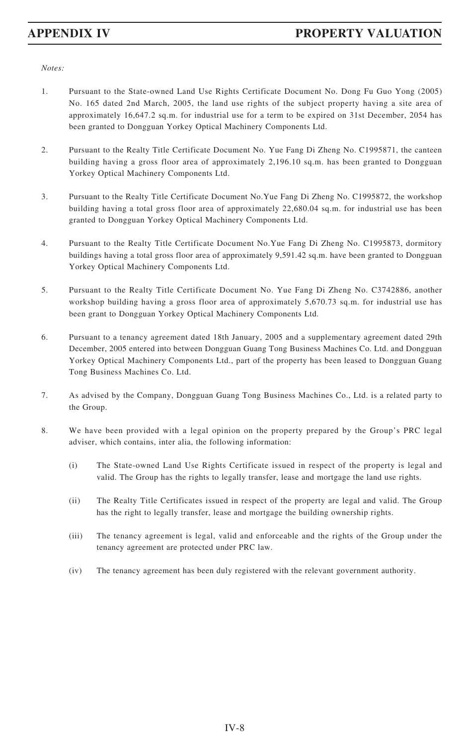- 1. Pursuant to the State-owned Land Use Rights Certificate Document No. Dong Fu Guo Yong (2005) No. 165 dated 2nd March, 2005, the land use rights of the subject property having a site area of approximately 16,647.2 sq.m. for industrial use for a term to be expired on 31st December, 2054 has been granted to Dongguan Yorkey Optical Machinery Components Ltd.
- 2. Pursuant to the Realty Title Certificate Document No. Yue Fang Di Zheng No. C1995871, the canteen building having a gross floor area of approximately 2,196.10 sq.m. has been granted to Dongguan Yorkey Optical Machinery Components Ltd.
- 3. Pursuant to the Realty Title Certificate Document No.Yue Fang Di Zheng No. C1995872, the workshop building having a total gross floor area of approximately 22,680.04 sq.m. for industrial use has been granted to Dongguan Yorkey Optical Machinery Components Ltd.
- 4. Pursuant to the Realty Title Certificate Document No.Yue Fang Di Zheng No. C1995873, dormitory buildings having a total gross floor area of approximately 9,591.42 sq.m. have been granted to Dongguan Yorkey Optical Machinery Components Ltd.
- 5. Pursuant to the Realty Title Certificate Document No. Yue Fang Di Zheng No. C3742886, another workshop building having a gross floor area of approximately 5,670.73 sq.m. for industrial use has been grant to Dongguan Yorkey Optical Machinery Components Ltd.
- 6. Pursuant to a tenancy agreement dated 18th January, 2005 and a supplementary agreement dated 29th December, 2005 entered into between Dongguan Guang Tong Business Machines Co. Ltd. and Dongguan Yorkey Optical Machinery Components Ltd., part of the property has been leased to Dongguan Guang Tong Business Machines Co. Ltd.
- 7. As advised by the Company, Dongguan Guang Tong Business Machines Co., Ltd. is a related party to the Group.
- 8. We have been provided with a legal opinion on the property prepared by the Group's PRC legal adviser, which contains, inter alia, the following information:
	- (i) The State-owned Land Use Rights Certificate issued in respect of the property is legal and valid. The Group has the rights to legally transfer, lease and mortgage the land use rights.
	- (ii) The Realty Title Certificates issued in respect of the property are legal and valid. The Group has the right to legally transfer, lease and mortgage the building ownership rights.
	- (iii) The tenancy agreement is legal, valid and enforceable and the rights of the Group under the tenancy agreement are protected under PRC law.
	- (iv) The tenancy agreement has been duly registered with the relevant government authority.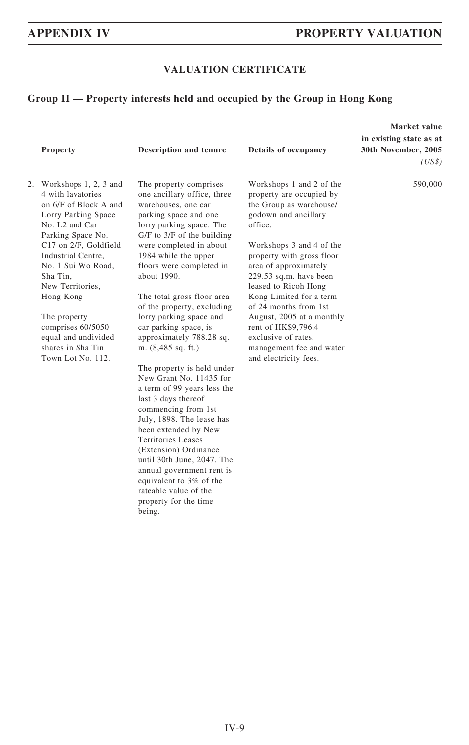### **VALUATION CERTIFICATE**

### **Group II — Property interests held and occupied by the Group in Hong Kong**

| <b>Property</b>                                                                                                                                                                                                                                                                                                                                                          | Description and tenure                                                                                                                                                                                                                                                                                                                                                                                                                                                                                                                                                                                                                                                                                                                                                                       | Details of occupancy                                                                                                                                                                                                                                                                                                                                                                                                                       | Market value<br>in existing state as at<br>30th November, 2005<br>(US\$) |
|--------------------------------------------------------------------------------------------------------------------------------------------------------------------------------------------------------------------------------------------------------------------------------------------------------------------------------------------------------------------------|----------------------------------------------------------------------------------------------------------------------------------------------------------------------------------------------------------------------------------------------------------------------------------------------------------------------------------------------------------------------------------------------------------------------------------------------------------------------------------------------------------------------------------------------------------------------------------------------------------------------------------------------------------------------------------------------------------------------------------------------------------------------------------------------|--------------------------------------------------------------------------------------------------------------------------------------------------------------------------------------------------------------------------------------------------------------------------------------------------------------------------------------------------------------------------------------------------------------------------------------------|--------------------------------------------------------------------------|
| 2. Workshops 1, 2, 3 and<br>4 with lavatories<br>on 6/F of Block A and<br>Lorry Parking Space<br>No. L <sub>2</sub> and Car<br>Parking Space No.<br>C17 on 2/F, Goldfield<br>Industrial Centre,<br>No. 1 Sui Wo Road,<br>Sha Tin.<br>New Territories,<br>Hong Kong<br>The property<br>comprises 60/5050<br>equal and undivided<br>shares in Sha Tin<br>Town Lot No. 112. | The property comprises<br>one ancillary office, three<br>warehouses, one car<br>parking space and one<br>lorry parking space. The<br>$G/F$ to $3/F$ of the building<br>were completed in about<br>1984 while the upper<br>floors were completed in<br>about 1990.<br>The total gross floor area<br>of the property, excluding<br>lorry parking space and<br>car parking space, is<br>approximately 788.28 sq.<br>m. (8,485 sq. ft.)<br>The property is held under<br>New Grant No. 11435 for<br>a term of 99 years less the<br>last 3 days thereof<br>commencing from 1st<br>July, 1898. The lease has<br>been extended by New<br>Territories Leases<br>(Extension) Ordinance<br>until 30th June, 2047. The<br>annual government rent is<br>equivalent to 3% of the<br>rateable value of the | Workshops 1 and 2 of the<br>property are occupied by<br>the Group as warehouse/<br>godown and ancillary<br>office.<br>Workshops 3 and 4 of the<br>property with gross floor<br>area of approximately<br>229.53 sq.m. have been<br>leased to Ricoh Hong<br>Kong Limited for a term<br>of 24 months from 1st<br>August, 2005 at a monthly<br>rent of HK\$9,796.4<br>exclusive of rates,<br>management fee and water<br>and electricity fees. | 590,000                                                                  |

property for the time

being.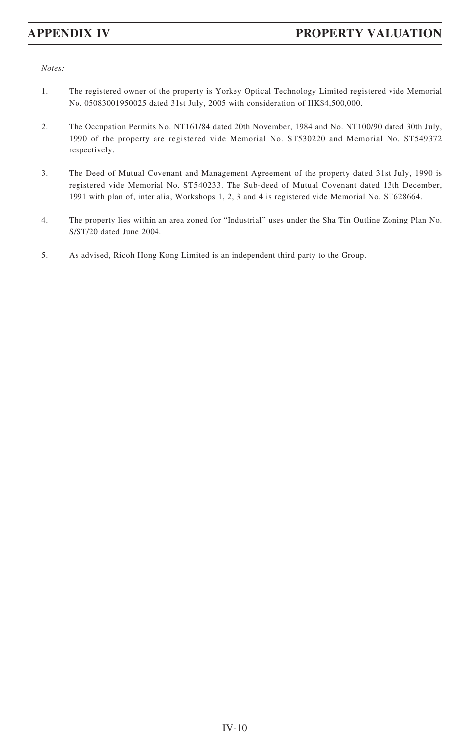- 1. The registered owner of the property is Yorkey Optical Technology Limited registered vide Memorial No. 05083001950025 dated 31st July, 2005 with consideration of HK\$4,500,000.
- 2. The Occupation Permits No. NT161/84 dated 20th November, 1984 and No. NT100/90 dated 30th July, 1990 of the property are registered vide Memorial No. ST530220 and Memorial No. ST549372 respectively.
- 3. The Deed of Mutual Covenant and Management Agreement of the property dated 31st July, 1990 is registered vide Memorial No. ST540233. The Sub-deed of Mutual Covenant dated 13th December, 1991 with plan of, inter alia, Workshops 1, 2, 3 and 4 is registered vide Memorial No. ST628664.
- 4. The property lies within an area zoned for "Industrial" uses under the Sha Tin Outline Zoning Plan No. S/ST/20 dated June 2004.
- 5. As advised, Ricoh Hong Kong Limited is an independent third party to the Group.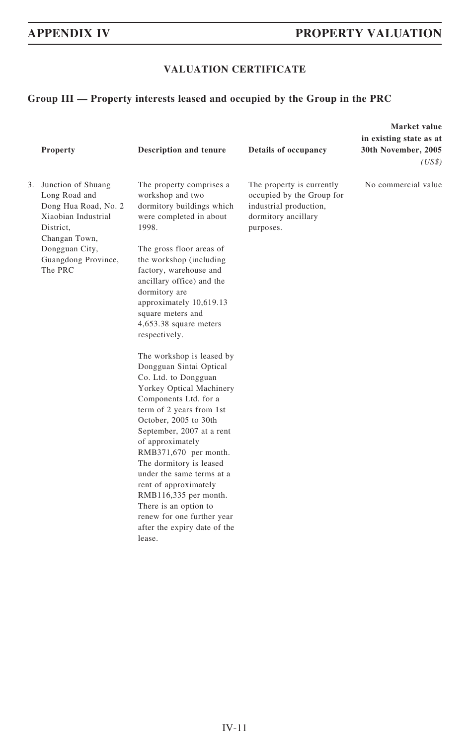## **VALUATION CERTIFICATE**

## **Group III — Property interests leased and occupied by the Group in the PRC**

|    | Property                                                                                                                                                             | <b>Description and tenure</b>                                                                                                                                                                                                                                                                                                                                                                                                                                                                                                                                                                                                                                                                                                                                                                                          | <b>Details of occupancy</b>                                                                                          | Market value<br>in existing state as at<br>30th November, 2005<br>(US\$) |
|----|----------------------------------------------------------------------------------------------------------------------------------------------------------------------|------------------------------------------------------------------------------------------------------------------------------------------------------------------------------------------------------------------------------------------------------------------------------------------------------------------------------------------------------------------------------------------------------------------------------------------------------------------------------------------------------------------------------------------------------------------------------------------------------------------------------------------------------------------------------------------------------------------------------------------------------------------------------------------------------------------------|----------------------------------------------------------------------------------------------------------------------|--------------------------------------------------------------------------|
| 3. | Junction of Shuang<br>Long Road and<br>Dong Hua Road, No. 2<br>Xiaobian Industrial<br>District,<br>Changan Town,<br>Dongguan City,<br>Guangdong Province,<br>The PRC | The property comprises a<br>workshop and two<br>dormitory buildings which<br>were completed in about<br>1998.<br>The gross floor areas of<br>the workshop (including<br>factory, warehouse and<br>ancillary office) and the<br>dormitory are<br>approximately 10,619.13<br>square meters and<br>4,653.38 square meters<br>respectively.<br>The workshop is leased by<br>Dongguan Sintai Optical<br>Co. Ltd. to Dongguan<br>Yorkey Optical Machinery<br>Components Ltd. for a<br>term of 2 years from 1st<br>October, 2005 to 30th<br>September, 2007 at a rent<br>of approximately<br>RMB371,670 per month.<br>The dormitory is leased<br>under the same terms at a<br>rent of approximately<br>RMB116,335 per month.<br>There is an option to<br>renew for one further year<br>after the expiry date of the<br>lease. | The property is currently<br>occupied by the Group for<br>industrial production,<br>dormitory ancillary<br>purposes. | No commercial value                                                      |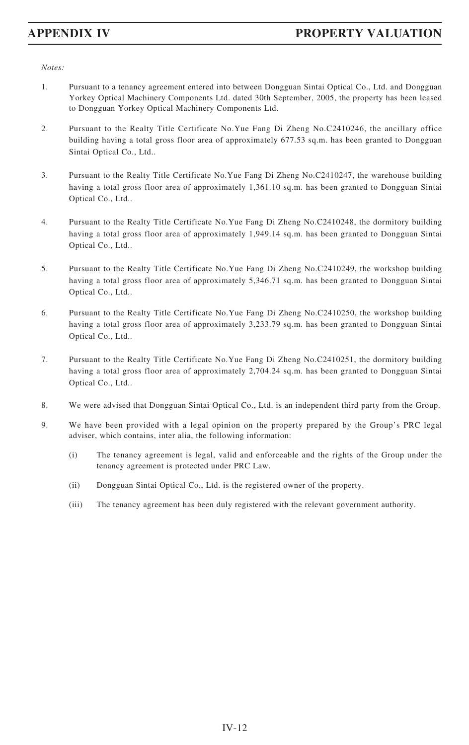- 1. Pursuant to a tenancy agreement entered into between Dongguan Sintai Optical Co., Ltd. and Dongguan Yorkey Optical Machinery Components Ltd. dated 30th September, 2005, the property has been leased to Dongguan Yorkey Optical Machinery Components Ltd.
- 2. Pursuant to the Realty Title Certificate No.Yue Fang Di Zheng No.C2410246, the ancillary office building having a total gross floor area of approximately 677.53 sq.m. has been granted to Dongguan Sintai Optical Co., Ltd..
- 3. Pursuant to the Realty Title Certificate No.Yue Fang Di Zheng No.C2410247, the warehouse building having a total gross floor area of approximately 1,361.10 sq.m. has been granted to Dongguan Sintai Optical Co., Ltd..
- 4. Pursuant to the Realty Title Certificate No.Yue Fang Di Zheng No.C2410248, the dormitory building having a total gross floor area of approximately 1,949.14 sq.m. has been granted to Dongguan Sintai Optical Co., Ltd..
- 5. Pursuant to the Realty Title Certificate No.Yue Fang Di Zheng No.C2410249, the workshop building having a total gross floor area of approximately 5,346.71 sq.m. has been granted to Dongguan Sintai Optical Co., Ltd..
- 6. Pursuant to the Realty Title Certificate No.Yue Fang Di Zheng No.C2410250, the workshop building having a total gross floor area of approximately 3,233.79 sq.m. has been granted to Dongguan Sintai Optical Co., Ltd..
- 7. Pursuant to the Realty Title Certificate No.Yue Fang Di Zheng No.C2410251, the dormitory building having a total gross floor area of approximately 2,704.24 sq.m. has been granted to Dongguan Sintai Optical Co., Ltd..
- 8. We were advised that Dongguan Sintai Optical Co., Ltd. is an independent third party from the Group.
- 9. We have been provided with a legal opinion on the property prepared by the Group's PRC legal adviser, which contains, inter alia, the following information:
	- (i) The tenancy agreement is legal, valid and enforceable and the rights of the Group under the tenancy agreement is protected under PRC Law.
	- (ii) Dongguan Sintai Optical Co., Ltd. is the registered owner of the property.
	- (iii) The tenancy agreement has been duly registered with the relevant government authority.